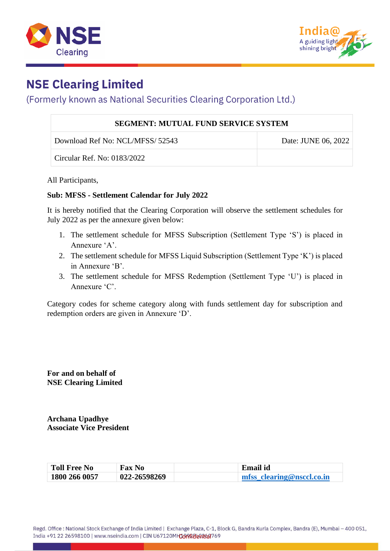



## **NSE Clearing Limited**

## (Formerly known as National Securities Clearing Corporation Ltd.)

| <b>SEGMENT: MUTUAL FUND SERVICE SYSTEM</b> |                     |  |
|--------------------------------------------|---------------------|--|
| Download Ref No: NCL/MFSS/ 52543           | Date: JUNE 06, 2022 |  |
| Circular Ref. No: 0183/2022                |                     |  |

All Participants,

## **Sub: MFSS - Settlement Calendar for July 2022**

It is hereby notified that the Clearing Corporation will observe the settlement schedules for July 2022 as per the annexure given below:

- 1. The settlement schedule for MFSS Subscription (Settlement Type 'S') is placed in Annexure 'A'.
- 2. The settlement schedule for MFSS Liquid Subscription (Settlement Type 'K') is placed in Annexure 'B'.
- 3. The settlement schedule for MFSS Redemption (Settlement Type 'U') is placed in Annexure 'C'.

Category codes for scheme category along with funds settlement day for subscription and redemption orders are given in Annexure 'D'.

**For and on behalf of NSE Clearing Limited**

**Archana Upadhye Associate Vice President**

| <b>Toll Free No</b> | <b>Fax No</b> | <b>Email id</b>           |
|---------------------|---------------|---------------------------|
| 1800 266 0057       | 022-26598269  | mfss clearing@nsccl.co.in |

Regd. Office : National Stock Exchange of India Limited | Exchange Plaza, C-1, Block G, Bandra Kurla Complex, Bandra (E), Mumbai - 400 051, India +91 22 26598100 | www.nseindia.com | CIN U67120MH1009988E99169769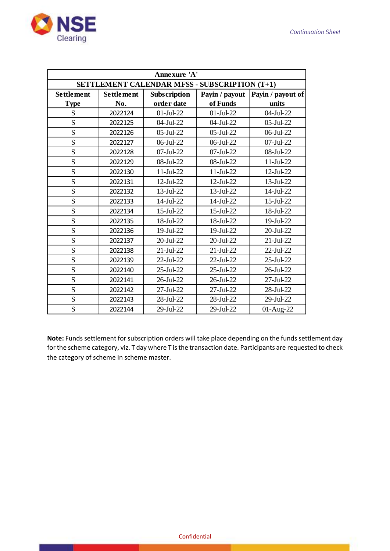

| Annexure 'A'                                  |                   |                 |                 |                   |
|-----------------------------------------------|-------------------|-----------------|-----------------|-------------------|
| SETTLEMENT CALENDAR MFSS - SUBSCRIPTION (T+1) |                   |                 |                 |                   |
| <b>Settlement</b>                             | <b>Settlement</b> | Subscription    | Payin / payout  | Payin / payout of |
| <b>Type</b>                                   | No.               | order date      | of Funds        | units             |
| S                                             | 2022124           | $01-JuI-22$     | $01-JuI-22$     | 04-Jul-22         |
| S                                             | 2022125           | 04-Jul-22       | 04-Jul-22       | 05-Jul-22         |
| S                                             | 2022126           | $05$ -Jul-22    | $05$ -Jul-22    | 06-Jul-22         |
| S                                             | 2022127           | 06-Jul-22       | 06-Jul-22       | 07-Jul-22         |
| S                                             | 2022128           | $07$ -Jul-22    | 07-Jul-22       | 08-Jul-22         |
| S                                             | 2022129           | 08-Jul-22       | 08-Jul-22       | $11-Jul-22$       |
| S                                             | 2022130           | $11-Jul-22$     | $11-Jul-22$     | 12-Jul-22         |
| S                                             | 2022131           | 12-Jul-22       | 12-Jul-22       | 13-Jul-22         |
| S                                             | 2022132           | 13-Jul-22       | 13-Jul-22       | 14-Jul-22         |
| S                                             | 2022133           | 14-Jul-22       | 14-Jul-22       | 15-Jul-22         |
| S                                             | 2022134           | 15-Jul-22       | 15-Jul-22       | 18-Jul-22         |
| S                                             | 2022135           | 18-Jul-22       | 18-Jul-22       | 19-Jul-22         |
| S                                             | 2022136           | 19-Jul-22       | 19-Jul-22       | 20-Jul-22         |
| S                                             | 2022137           | 20-Jul-22       | 20-Jul-22       | $21-Jul-22$       |
| S                                             | 2022138           | $21-Jul-22$     | $21-Ju-22$      | 22-Jul-22         |
| S                                             | 2022139           | 22-Jul-22       | 22-Jul-22       | 25-Jul-22         |
| S                                             | 2022140           | 25-Jul-22       | 25-Jul-22       | 26-Jul-22         |
| S                                             | 2022141           | 26-Jul-22       | $26$ -Jul- $22$ | 27-Jul-22         |
| S                                             | 2022142           | $27$ -Jul- $22$ | $27-Jul-22$     | 28-Jul-22         |
| S                                             | 2022143           | 28-Jul-22       | 28-Jul-22       | 29-Jul-22         |
| S                                             | 2022144           | 29-Jul-22       | 29-Jul-22       | 01-Aug-22         |

**Note:** Funds settlement for subscription orders will take place depending on the funds settlement day for the scheme category, viz. T day where T is the transaction date. Participants are requested to check the category of scheme in scheme master.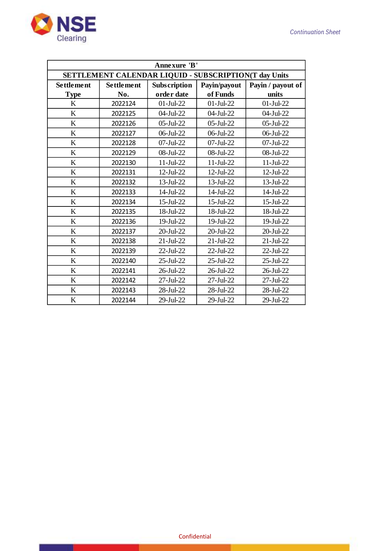

| Annexure 'B'                                          |                   |              |                 |                   |
|-------------------------------------------------------|-------------------|--------------|-----------------|-------------------|
| SETTLEMENT CALENDAR LIQUID - SUBSCRIPTION(T day Units |                   |              |                 |                   |
| <b>Settlement</b>                                     | <b>Settlement</b> | Subscription | Payin/payout    | Payin / payout of |
| <b>Type</b>                                           | No.               | order date   | of Funds        | units             |
| K                                                     | 2022124           | $01-Jul-22$  | $01-Jul-22$     | $01-Jul-22$       |
| K                                                     | 2022125           | 04-Jul-22    | 04-Jul-22       | 04-Jul-22         |
| K                                                     | 2022126           | $05$ -Jul-22 | $05$ -Jul-22    | $05$ -Jul-22      |
| K                                                     | 2022127           | 06-Jul-22    | $06$ -Jul-22    | 06-Jul-22         |
| K                                                     | 2022128           | 07-Jul-22    | $07$ -Jul-22    | 07-Jul-22         |
| K                                                     | 2022129           | 08-Jul-22    | 08-Jul-22       | 08-Jul-22         |
| K                                                     | 2022130           | $11-Jul-22$  | $11-Jul-22$     | $11-Jul-22$       |
| K                                                     | 2022131           | $12$ -Jul-22 | 12-Jul-22       | $12$ -Jul-22      |
| K                                                     | 2022132           | 13-Jul-22    | 13-Jul-22       | 13-Jul-22         |
| K                                                     | 2022133           | 14-Jul-22    | 14-Jul-22       | 14-Jul-22         |
| K                                                     | 2022134           | $15$ -Jul-22 | 15-Jul-22       | $15$ -Jul-22      |
| K                                                     | 2022135           | 18-Jul-22    | 18-Jul-22       | 18-Jul-22         |
| K                                                     | 2022136           | 19-Jul-22    | 19-Jul-22       | 19-Jul-22         |
| K                                                     | 2022137           | 20-Jul-22    | 20-Jul-22       | 20-Jul-22         |
| K                                                     | 2022138           | $21-Jul-22$  | $21-Ju-22$      | $21-Ju-22$        |
| K                                                     | 2022139           | 22-Jul-22    | 22-Jul-22       | 22-Jul-22         |
| $\bf K$                                               | 2022140           | 25-Jul-22    | 25-Jul-22       | 25-Jul-22         |
| $\bf K$                                               | 2022141           | 26-Jul-22    | $26$ -Jul- $22$ | $26$ -Jul- $22$   |
| K                                                     | 2022142           | 27-Jul-22    | 27-Jul-22       | $27$ -Jul- $22$   |
| K                                                     | 2022143           | 28-Jul-22    | 28-Jul-22       | 28-Jul-22         |
| K                                                     | 2022144           | 29-Jul-22    | 29-Jul-22       | 29-Jul-22         |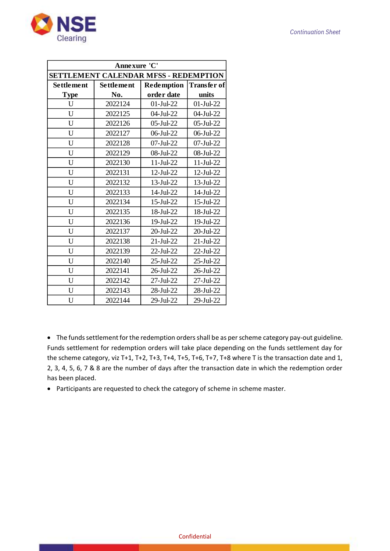

| Annexure 'C'                          |            |                   |                    |  |
|---------------------------------------|------------|-------------------|--------------------|--|
| SETTLEMENT CALENDAR MFSS - REDEMPTION |            |                   |                    |  |
| Settlement                            | Settlement | <b>Redemption</b> | <b>Transfer of</b> |  |
| <b>Type</b>                           | No.        | order date        | units              |  |
| U                                     | 2022124    | $01-Jul-22$       | $01-Jul-22$        |  |
| U                                     | 2022125    | 04-Jul-22         | 04-Jul-22          |  |
| U                                     | 2022126    | $05$ -Jul-22      | $05$ -Jul-22       |  |
| U                                     | 2022127    | 06-Jul-22         | 06-Jul-22          |  |
| U                                     | 2022128    | 07-Jul-22         | $07$ -Jul-22       |  |
| U                                     | 2022129    | 08-Jul-22         | 08-Jul-22          |  |
| U                                     | 2022130    | $11-Jul-22$       | $11-Jul-22$        |  |
| U                                     | 2022131    | 12-Jul-22         | 12-Jul-22          |  |
| U                                     | 2022132    | 13-Jul-22         | 13-Jul-22          |  |
| U                                     | 2022133    | 14-Jul-22         | 14-Jul-22          |  |
| U                                     | 2022134    | 15-Jul-22         | 15-Jul-22          |  |
| U                                     | 2022135    | 18-Jul-22         | 18-Jul-22          |  |
| U                                     | 2022136    | 19-Jul-22         | $19$ -Jul-22       |  |
| U                                     | 2022137    | 20-Jul-22         | 20-Jul-22          |  |
| U                                     | 2022138    | $21-Jul-22$       | $21-Jul-22$        |  |
| U                                     | 2022139    | 22-Jul-22         | 22-Jul-22          |  |
| U                                     | 2022140    | 25-Jul-22         | 25-Jul-22          |  |
| U                                     | 2022141    | 26-Jul-22         | 26-Jul-22          |  |
| U                                     | 2022142    | $27-Jul-22$       | $27-Jul-22$        |  |
| U                                     | 2022143    | 28-Jul-22         | 28-Jul-22          |  |
| U                                     | 2022144    | 29-Jul-22         | 29-Jul-22          |  |

• The funds settlement for the redemption orders shall be as per scheme category pay-out guideline. Funds settlement for redemption orders will take place depending on the funds settlement day for the scheme category, viz T+1, T+2, T+3, T+4, T+5, T+6, T+7, T+8 where T is the transaction date and 1, 2, 3, 4, 5, 6, 7 & 8 are the number of days after the transaction date in which the redemption order has been placed.

• Participants are requested to check the category of scheme in scheme master.